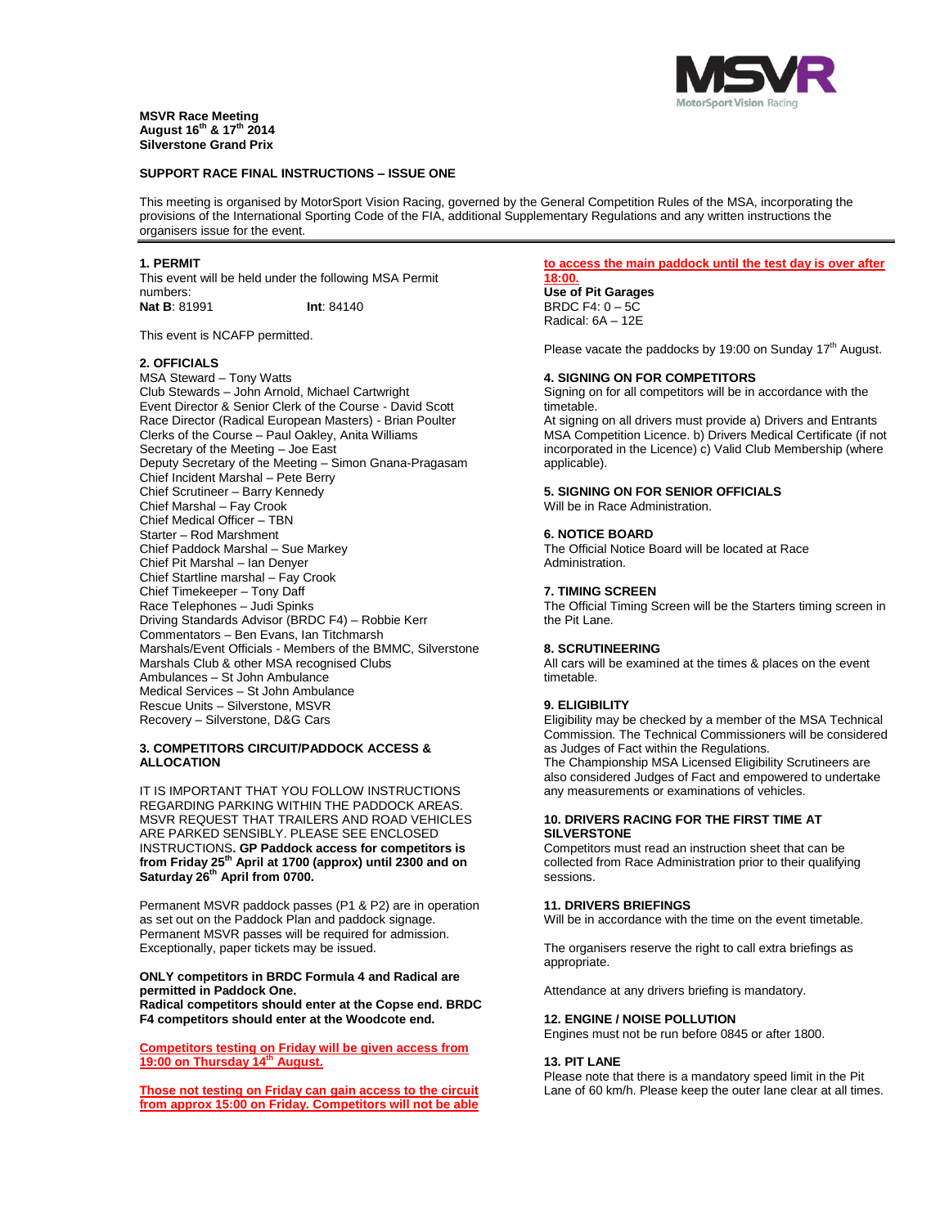

# **MSVR Race Meeting August 16th & 17th 2014 Silverstone Grand Prix**

### **SUPPORT RACE FINAL INSTRUCTIONS – ISSUE ONE**

This meeting is organised by MotorSport Vision Racing, governed by the General Competition Rules of the MSA, incorporating the provisions of the International Sporting Code of the FIA, additional Supplementary Regulations and any written instructions the organisers issue for the event.

### **1. PERMIT**

This event will be held under the following MSA Permit numbers: **Nat B**: 81991 **Int**: 84140

This event is NCAFP permitted.

#### **2. OFFICIALS**

MSA Steward – Tony Watts Club Stewards – John Arnold, Michael Cartwright Event Director & Senior Clerk of the Course - David Scott Race Director (Radical European Masters) - Brian Poulter Clerks of the Course – Paul Oakley, Anita Williams Secretary of the Meeting – Joe East Deputy Secretary of the Meeting – Simon Gnana-Pragasam Chief Incident Marshal – Pete Berry Chief Scrutineer – Barry Kennedy Chief Marshal – Fay Crook Chief Medical Officer – TBN Starter – Rod Marshment Chief Paddock Marshal – Sue Markey Chief Pit Marshal – Ian Denyer Chief Startline marshal – Fay Crook Chief Timekeeper – Tony Daff Race Telephones – Judi Spinks Driving Standards Advisor (BRDC F4) – Robbie Kerr Commentators – Ben Evans, Ian Titchmarsh Marshals/Event Officials - Members of the BMMC, Silverstone Marshals Club & other MSA recognised Clubs Ambulances – St John Ambulance Medical Services – St John Ambulance Rescue Units – Silverstone, MSVR Recovery – Silverstone, D&G Cars

### **3. COMPETITORS CIRCUIT/PADDOCK ACCESS & ALLOCATION**

IT IS IMPORTANT THAT YOU FOLLOW INSTRUCTIONS REGARDING PARKING WITHIN THE PADDOCK AREAS. MSVR REQUEST THAT TRAILERS AND ROAD VEHICLES ARE PARKED SENSIBLY. PLEASE SEE ENCLOSED INSTRUCTIONS**. GP Paddock access for competitors is from Friday 25 th April at 1700 (approx) until 2300 and on Saturday 26 th April from 0700.**

Permanent MSVR paddock passes (P1 & P2) are in operation as set out on the Paddock Plan and paddock signage. Permanent MSVR passes will be required for admission. Exceptionally, paper tickets may be issued.

# **ONLY competitors in BRDC Formula 4 and Radical are permitted in Paddock One.**

**Radical competitors should enter at the Copse end. BRDC F4 competitors should enter at the Woodcote end.** 

**Competitors testing on Friday will be given access from 19:00 on Thursday 14 th August.**

**Those not testing on Friday can gain access to the circuit from approx 15:00 on Friday. Competitors will not be able** 

#### **to access the main paddock until the test day is over after 18:00.**

**Use of Pit Garages** BRDC F4: 0 – 5C Radical: 6A – 12E

Please vacate the paddocks by 19:00 on Sunday 17<sup>th</sup> August.

### **4. SIGNING ON FOR COMPETITORS**

Signing on for all competitors will be in accordance with the timetable.

At signing on all drivers must provide a) Drivers and Entrants MSA Competition Licence. b) Drivers Medical Certificate (if not incorporated in the Licence) c) Valid Club Membership (where applicable).

#### **5. SIGNING ON FOR SENIOR OFFICIALS** Will be in Race Administration.

#### **6. NOTICE BOARD**

The Official Notice Board will be located at Race Administration.

#### **7. TIMING SCREEN**

The Official Timing Screen will be the Starters timing screen in the Pit Lane.

# **8. SCRUTINEERING**

All cars will be examined at the times & places on the event timetable.

# **9. ELIGIBILITY**

Eligibility may be checked by a member of the MSA Technical Commission. The Technical Commissioners will be considered as Judges of Fact within the Regulations.

The Championship MSA Licensed Eligibility Scrutineers are also considered Judges of Fact and empowered to undertake any measurements or examinations of vehicles.

# **10. DRIVERS RACING FOR THE FIRST TIME AT SILVERSTONE**

Competitors must read an instruction sheet that can be collected from Race Administration prior to their qualifying sessions.

# **11. DRIVERS BRIEFINGS**

Will be in accordance with the time on the event timetable.

The organisers reserve the right to call extra briefings as appropriate.

Attendance at any drivers briefing is mandatory.

#### **12. ENGINE / NOISE POLLUTION**

Engines must not be run before 0845 or after 1800.

### **13. PIT LANE**

Please note that there is a mandatory speed limit in the Pit Lane of 60 km/h. Please keep the outer lane clear at all times.